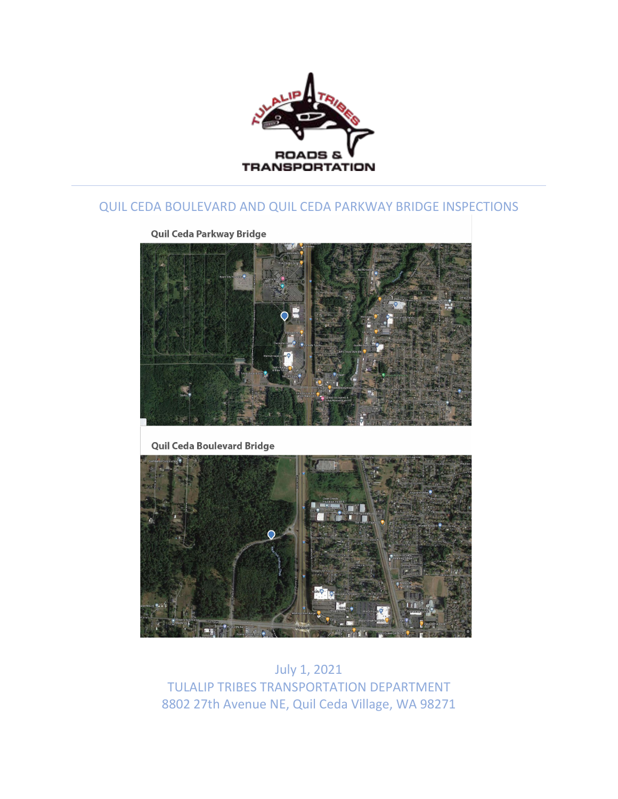

## QUIL CEDA BOULEVARD AND QUIL CEDA PARKWAY BRIDGE INSPECTIONS

Quil Ceda Parkway Bridge



Quil Ceda Boulevard Bridge



July 1, 2021 TULALIP TRIBES TRANSPORTATION DEPARTMENT 8802 27th Avenue NE, Quil Ceda Village, WA 98271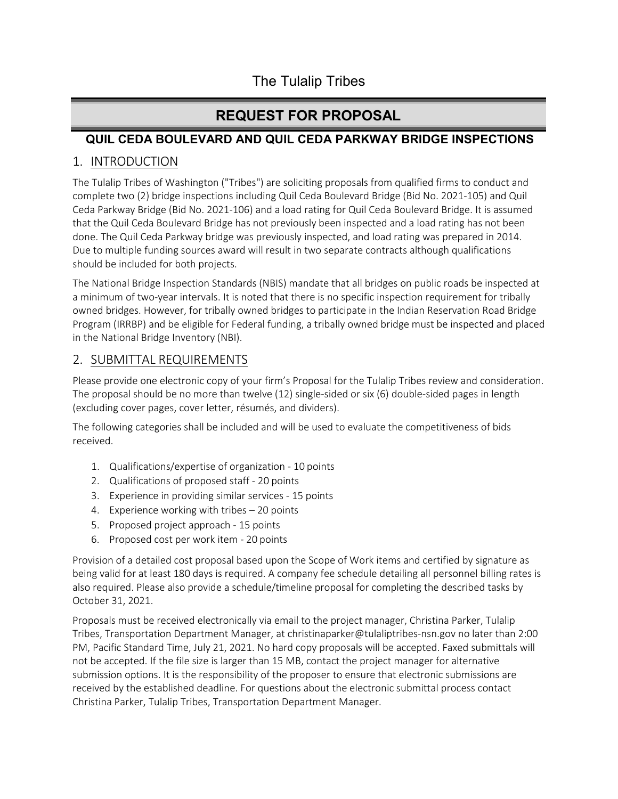## The Tulalip Tribes

# **REQUEST FOR PROPOSAL**

### **QUIL CEDA BOULEVARD AND QUIL CEDA PARKWAY BRIDGE INSPECTIONS**

### 1. INTRODUCTION

The Tulalip Tribes of Washington ("Tribes") are soliciting proposals from qualified firms to conduct and complete two (2) bridge inspections including Quil Ceda Boulevard Bridge (Bid No. 2021-105) and Quil Ceda Parkway Bridge (Bid No. 2021-106) and a load rating for Quil Ceda Boulevard Bridge. It is assumed that the Quil Ceda Boulevard Bridge has not previously been inspected and a load rating has not been done. The Quil Ceda Parkway bridge was previously inspected, and load rating was prepared in 2014. Due to multiple funding sources award will result in two separate contracts although qualifications should be included for both projects.

The National Bridge Inspection Standards (NBIS) mandate that all bridges on public roads be inspected at a minimum of two-year intervals. It is noted that there is no specific inspection requirement for tribally owned bridges. However, for tribally owned bridges to participate in the Indian Reservation Road Bridge Program (IRRBP) and be eligible for Federal funding, a tribally owned bridge must be inspected and placed in the National Bridge Inventory (NBI).

## 2. SUBMITTAL REQUIREMENTS

Please provide one electronic copy of your firm's Proposal for the Tulalip Tribes review and consideration. The proposal should be no more than twelve (12) single-sided or six (6) double-sided pages in length (excluding cover pages, cover letter, résumés, and dividers).

The following categories shall be included and will be used to evaluate the competitiveness of bids received.

- 1. Qualifications/expertise of organization 10 points
- 2. Qualifications of proposed staff 20 points
- 3. Experience in providing similar services 15 points
- 4. Experience working with tribes 20 points
- 5. Proposed project approach 15 points
- 6. Proposed cost per work item 20 points

Provision of a detailed cost proposal based upon the Scope of Work items and certified by signature as being valid for at least 180 days is required. A company fee schedule detailing all personnel billing rates is also required. Please also provide a schedule/timeline proposal for completing the described tasks by October 31, 2021.

Proposals must be received electronically via email to the project manager, Christina Parker, Tulalip Tribes, Transportation Department Manager, at [christinaparker@tulaliptribes-nsn.gov n](mailto:christinaparker@tulaliptribes-nsn.gov)o later than 2:00 PM, Pacific Standard Time, July 21, 2021. No hard copy proposals will be accepted. Faxed submittals will not be accepted. If the file size is larger than 15 MB, contact the project manager for alternative submission options. It is the responsibility of the proposer to ensure that electronic submissions are received by the established deadline. For questions about the electronic submittal process contact Christina Parker, Tulalip Tribes, Transportation Department Manager.